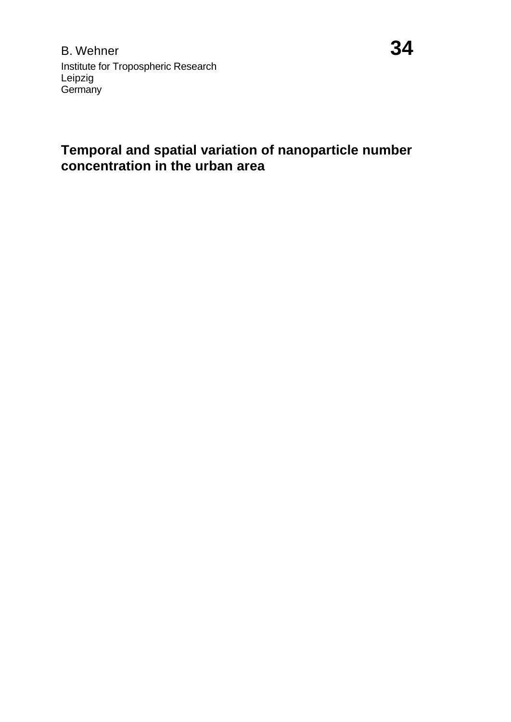B. Wehner **34** Institute for Tropospheric Research Leipzig **Germany** 

## **Temporal and spatial variation of nanoparticle number concentration in the urban area**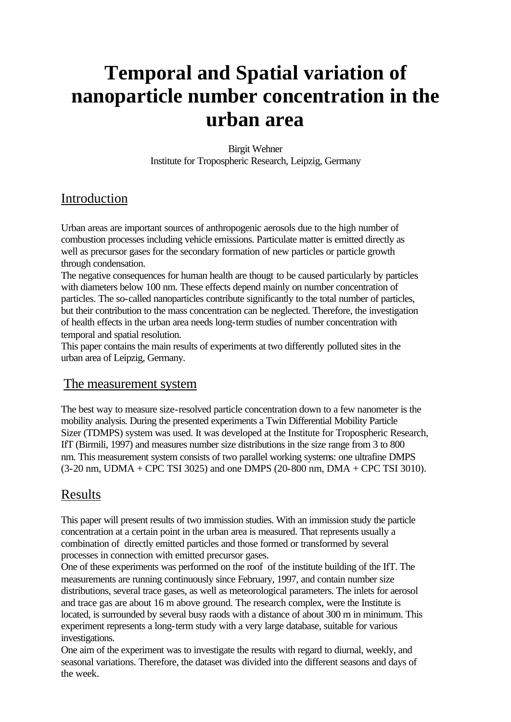# **Temporal and Spatial variation of nanoparticle number concentration in the urban area**

Birgit Wehner Institute for Tropospheric Research, Leipzig, Germany

### Introduction

Urban areas are important sources of anthropogenic aerosols due to the high number of combustion processes including vehicle emissions. Particulate matter is emitted directly as well as precursor gases for the secondary formation of new particles or particle growth through condensation.

The negative consequences for human health are thougt to be caused particularly by particles with diameters below 100 nm. These effects depend mainly on number concentration of particles. The so-called nanoparticles contribute significantly to the total number of particles, but their contribution to the mass concentration can be neglected. Therefore, the investigation of health effects in the urban area needs long-term studies of number concentration with temporal and spatial resolution.

This paper contains the main results of experiments at two differently polluted sites in the urban area of Leipzig, Germany.

#### The measurement system

The best way to measure size-resolved particle concentration down to a few nanometer is the mobility analysis. During the presented experiments a Twin Differential Mobility Particle Sizer (TDMPS) system was used. It was developed at the Institute for Tropospheric Research, IfT (Birmili, 1997) and measures number size distributions in the size range from 3 to 800 nm. This measurement system consists of two parallel working systems: one ultrafine DMPS (3-20 nm, UDMA + CPC TSI 3025) and one DMPS (20-800 nm, DMA + CPC TSI 3010).

## Results

This paper will present results of two immission studies. With an immission study the particle concentration at a certain point in the urban area is measured. That represents usually a combination of directly emitted particles and those formed or transformed by several processes in connection with emitted precursor gases.

One of these experiments was performed on the roof of the institute building of the IfT. The measurements are running continuously since February, 1997, and contain number size distributions, several trace gases, as well as meteorological parameters. The inlets for aerosol and trace gas are about 16 m above ground. The research complex, were the Institute is located, is surrounded by several busy raods with a distance of about 300 m in minimum. This experiment represents a long-term study with a very large database, suitable for various investigations.

One aim of the experiment was to investigate the results with regard to diurnal, weekly, and seasonal variations. Therefore, the dataset was divided into the different seasons and days of the week.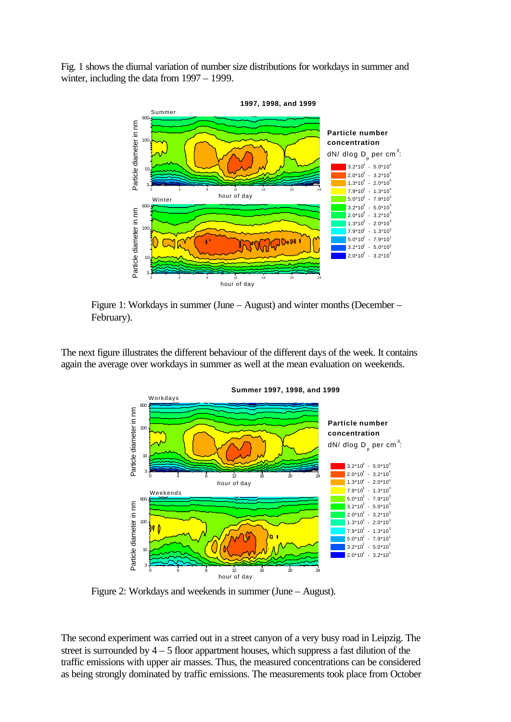Fig. 1 shows the diurnal variation of number size distributions for workdays in summer and winter, including the data from 1997 – 1999.



Figure 1: Workdays in summer (June – August) and winter months (December – February).

The next figure illustrates the different behaviour of the different days of the week. It contains again the average over workdays in summer as well at the mean evaluation on weekends.



Figure 2: Workdays and weekends in summer (June – August).

The second experiment was carried out in a street canyon of a very busy road in Leipzig. The street is surrounded by  $4 - 5$  floor appartment houses, which suppress a fast dilution of the traffic emissions with upper air masses. Thus, the measured concentrations can be considered as being strongly dominated by traffic emissions. The measurements took place from October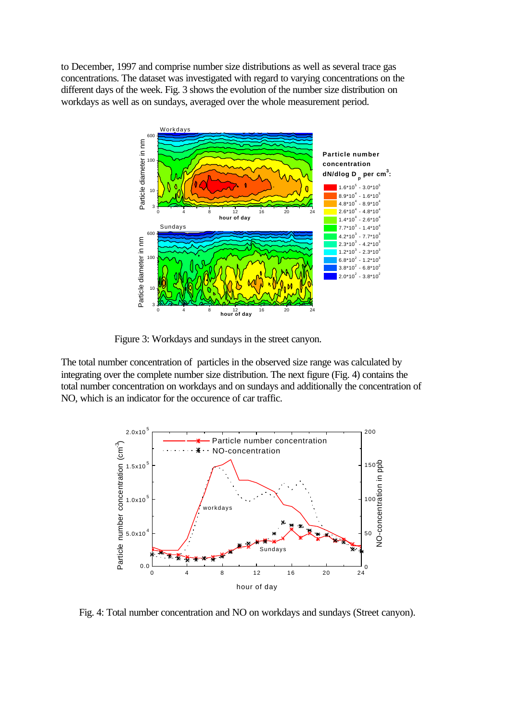to December, 1997 and comprise number size distributions as well as several trace gas concentrations. The dataset was investigated with regard to varying concentrations on the different days of the week. Fig. 3 shows the evolution of the number size distribution on workdays as well as on sundays, averaged over the whole measurement period.



Figure 3: Workdays and sundays in the street canyon.

The total number concentration of particles in the observed size range was calculated by integrating over the complete number size distribution. The next figure (Fig. 4) contains the total number concentration on workdays and on sundays and additionally the concentration of NO, which is an indicator for the occurence of car traffic.



Fig. 4: Total number concentration and NO on workdays and sundays (Street canyon).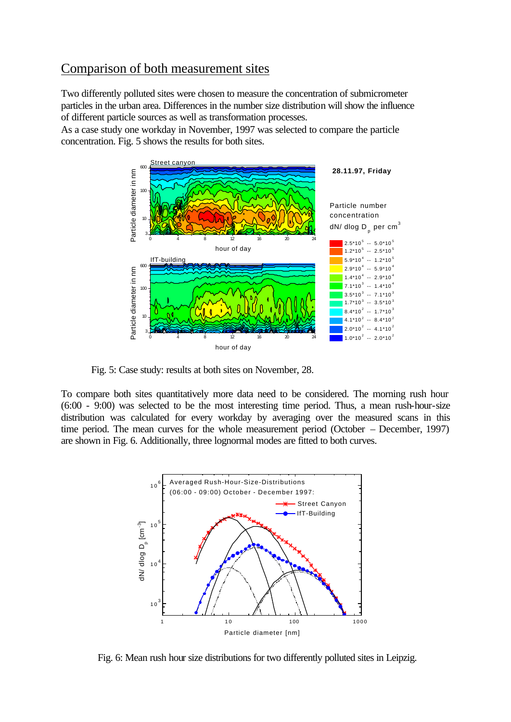#### Comparison of both measurement sites

Two differently polluted sites were chosen to measure the concentration of submicrometer particles in the urban area. Differences in the number size distribution will show the influence of different particle sources as well as transformation processes.

As a case study one workday in November, 1997 was selected to compare the particle concentration. Fig. 5 shows the results for both sites.



Fig. 5: Case study: results at both sites on November, 28.

To compare both sites quantitatively more data need to be considered. The morning rush hour (6:00 - 9:00) was selected to be the most interesting time period. Thus, a mean rush-hour-size distribution was calculated for every workday by averaging over the measured scans in this time period. The mean curves for the whole measurement period (October – December, 1997) are shown in Fig. 6. Additionally, three lognormal modes are fitted to both curves.



Fig. 6: Mean rush hour size distributions for two differently polluted sites in Leipzig.